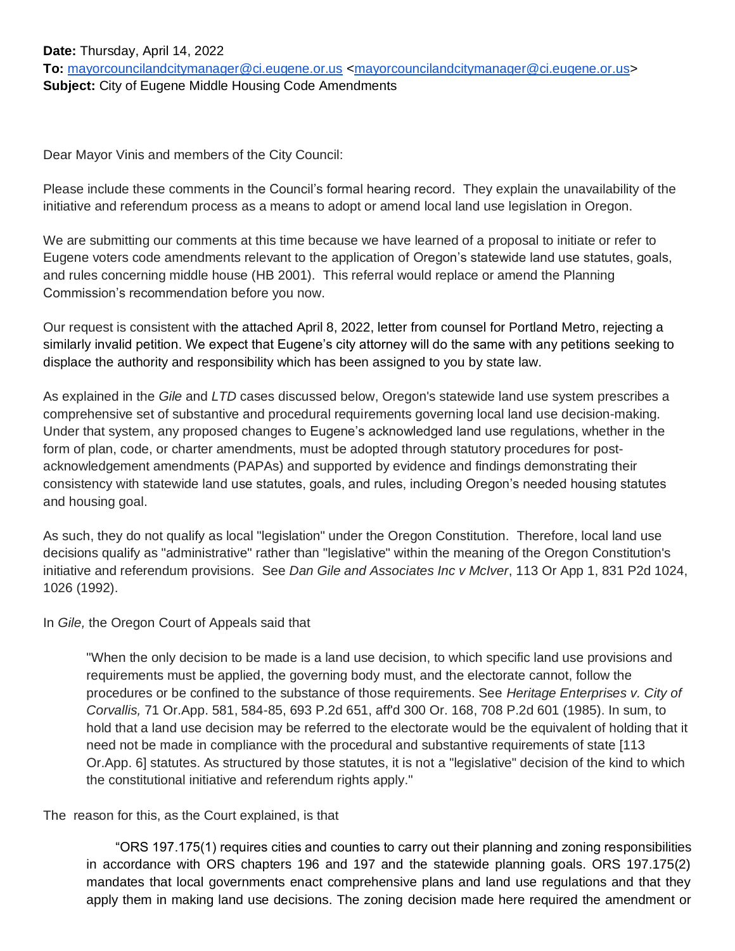Dear Mayor Vinis and members of the City Council:

Please include these comments in the Council's formal hearing record. They explain the unavailability of the initiative and referendum process as a means to adopt or amend local land use legislation in Oregon.

We are submitting our comments at this time because we have learned of a proposal to initiate or refer to Eugene voters code amendments relevant to the application of Oregon's statewide land use statutes, goals, and rules concerning middle house (HB 2001). This referral would replace or amend the Planning Commission's recommendation before you now.

Our request is consistent with the attached April 8, 2022, letter from counsel for Portland Metro, rejecting a similarly invalid petition. We expect that Eugene's city attorney will do the same with any petitions seeking to displace the authority and responsibility which has been assigned to you by state law.

As explained in the *Gile* and *LTD* cases discussed below, Oregon's statewide land use system prescribes a comprehensive set of substantive and procedural requirements governing local land use decision-making. Under that system, any proposed changes to Eugene's acknowledged land use regulations, whether in the form of plan, code, or charter amendments, must be adopted through statutory procedures for postacknowledgement amendments (PAPAs) and supported by evidence and findings demonstrating their consistency with statewide land use statutes, goals, and rules, including Oregon's needed housing statutes and housing goal.

As such, they do not qualify as local "legislation" under the Oregon Constitution. Therefore, local land use decisions qualify as "administrative" rather than "legislative" within the meaning of the Oregon Constitution's initiative and referendum provisions. See *Dan Gile and Associates Inc v McIver*, 113 Or App 1, 831 P2d 1024, 1026 (1992).

In *Gile,* the Oregon Court of Appeals said that

"When the only decision to be made is a land use decision, to which specific land use provisions and requirements must be applied, the governing body must, and the electorate cannot, follow the procedures or be confined to the substance of those requirements. See *Heritage Enterprises v. City of Corvallis,* 71 Or.App. 581, 584-85, 693 P.2d 651, aff'd 300 Or. 168, 708 P.2d 601 (1985). In sum, to hold that a land use decision may be referred to the electorate would be the equivalent of holding that it need not be made in compliance with the procedural and substantive requirements of state [113 Or.App. 6] statutes. As structured by those statutes, it is not a "legislative" decision of the kind to which the constitutional initiative and referendum rights apply."

## The reason for this, as the Court explained, is that

 "ORS 197.175(1) requires cities and counties to carry out their planning and zoning responsibilities in accordance with ORS chapters 196 and 197 and the statewide planning goals. ORS 197.175(2) mandates that local governments enact comprehensive plans and land use regulations and that they apply them in making land use decisions. The zoning decision made here required the amendment or